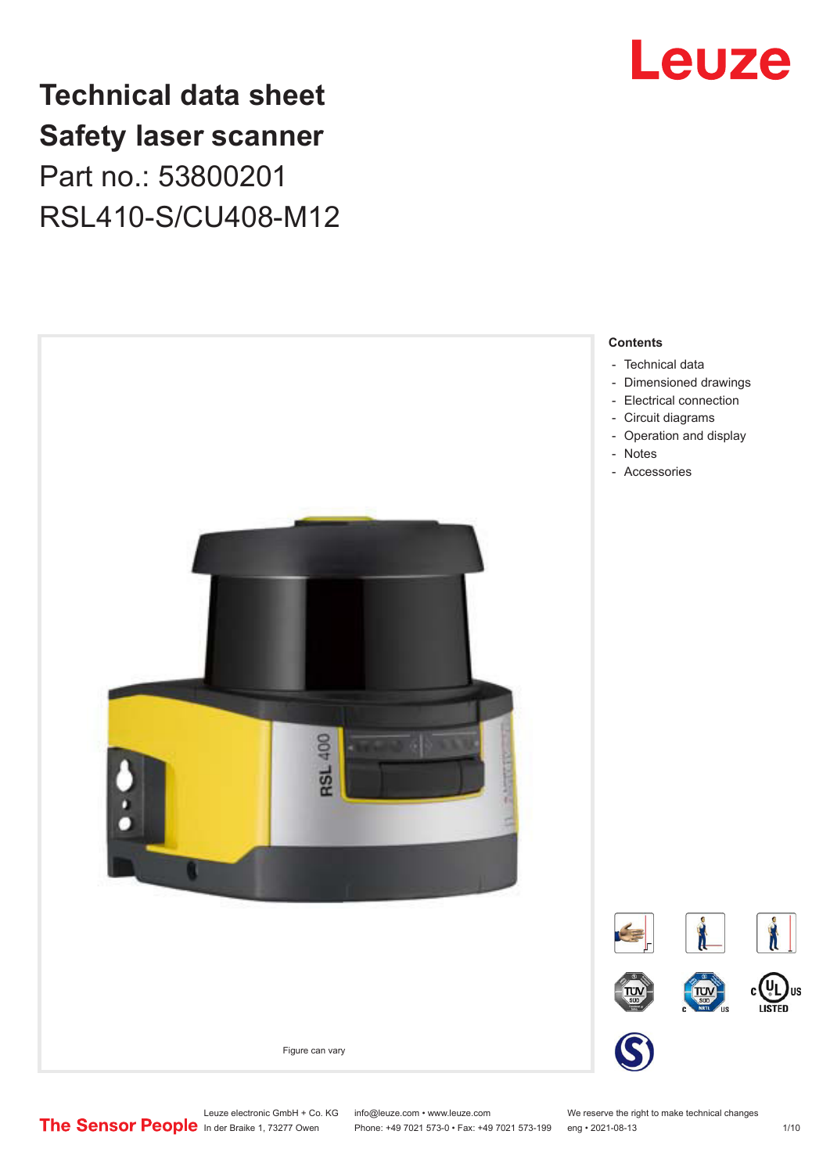

# **Technical data sheet Safety laser scanner** Part no.: 53800201 RSL410-S/CU408-M12



Leuze electronic GmbH + Co. KG info@leuze.com • www.leuze.com We reserve the right to make technical changes<br>
The Sensor People in der Braike 1, 73277 Owen Phone: +49 7021 573-0 • Fax: +49 7021 573-199 eng • 2021-08-13

Phone: +49 7021 573-0 • Fax: +49 7021 573-199 eng • 2021-08-13 1/10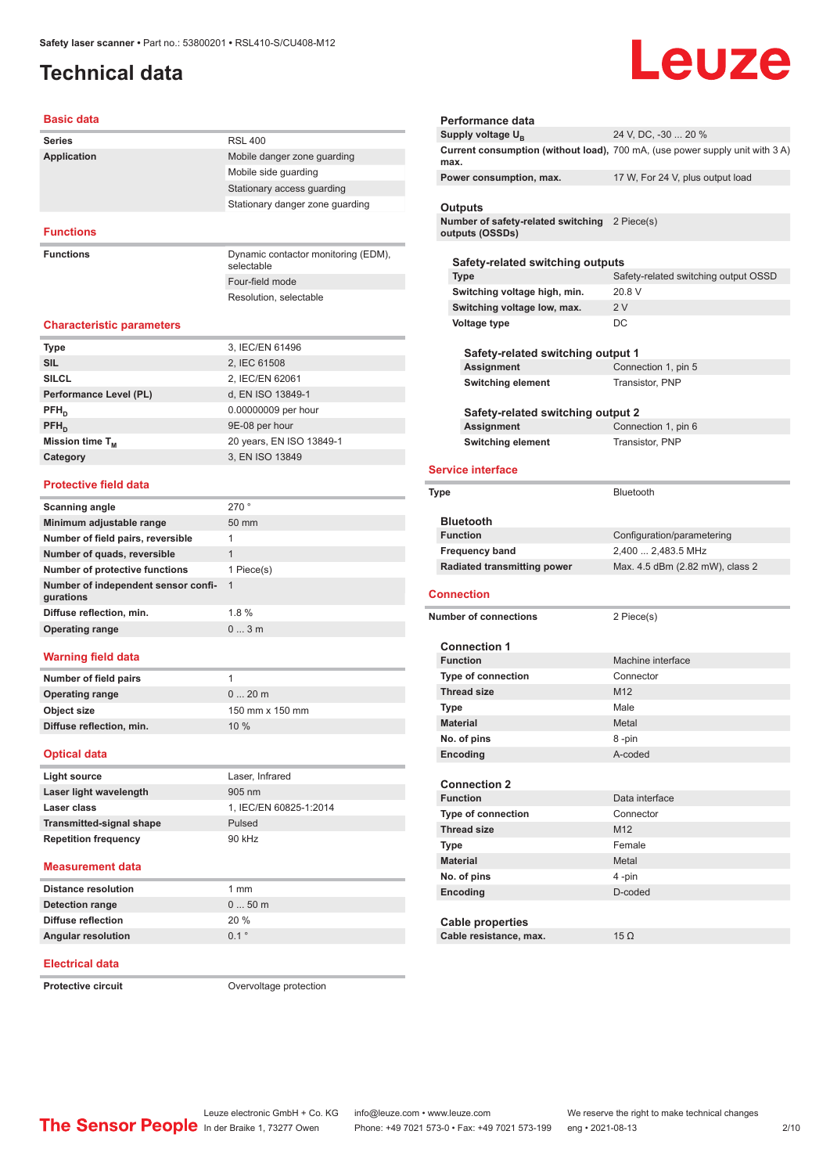# <span id="page-1-0"></span>**Technical data**

# Leuze

### **Basic data**

| <b>Series</b>      | <b>RSL 400</b>                                    |
|--------------------|---------------------------------------------------|
| <b>Application</b> | Mobile danger zone quarding                       |
|                    | Mobile side quarding                              |
|                    | Stationary access guarding                        |
|                    | Stationary danger zone quarding                   |
|                    |                                                   |
| <b>Functions</b>   |                                                   |
| <b>Functions</b>   | Dynamic contactor monitoring (EDM),<br>selectable |
|                    | Four-field mode                                   |
|                    | Resolution, selectable                            |

### **Characteristic parameters**

| <b>Type</b>            | 3, IEC/EN 61496          |
|------------------------|--------------------------|
| <b>SIL</b>             | 2, IEC 61508             |
| <b>SILCL</b>           | 2, IEC/EN 62061          |
| Performance Level (PL) | d, EN ISO 13849-1        |
| $PFH_{n}$              | 0.00000009 per hour      |
| $PFH_n$                | 9E-08 per hour           |
| Mission time $T_{M}$   | 20 years, EN ISO 13849-1 |
| Category               | 3, EN ISO 13849          |
|                        |                          |

### **Protective field data**

| <b>Scanning angle</b>                            | 270°            |
|--------------------------------------------------|-----------------|
| Minimum adjustable range                         | $50 \text{ mm}$ |
| Number of field pairs, reversible                | 1               |
| Number of quads, reversible                      | 1               |
| Number of protective functions                   | 1 Piece(s)      |
| Number of independent sensor confi-<br>gurations | -1              |
| Diffuse reflection, min.                         | 1.8%            |
| <b>Operating range</b>                           | $0 \dots 3$ m   |
|                                                  |                 |

### **Warning field data**

| Number of field pairs    |                 |
|--------------------------|-----------------|
| <b>Operating range</b>   | $020$ m         |
| Object size              | 150 mm x 150 mm |
| Diffuse reflection, min. | 10%             |

### **Optical data**

| Light source                    | Laser, Infrared        |
|---------------------------------|------------------------|
| Laser light wavelength          | $905 \text{ nm}$       |
| Laser class                     | 1. IEC/EN 60825-1:2014 |
| <b>Transmitted-signal shape</b> | Pulsed                 |
| <b>Repetition frequency</b>     | 90 kHz                 |

### **Measurement data**

| <b>Distance resolution</b> | 1 mm    |
|----------------------------|---------|
| Detection range            | $050$ m |
| Diffuse reflection         | 20%     |
| <b>Angular resolution</b>  | $0.1$ ° |

### **Electrical data**

**Protective circuit COVER COVER COVER COVER COVER COVER COVER COVER COVER COVER COVER COVER COVER COVER COVER COVER COVER COVER COVER COVER COVER COVER COVER COVER COVER COVER COVER COVER COVER COVER COVER COVER COVER CO** 

| Performance data                                                 |                                                                              |
|------------------------------------------------------------------|------------------------------------------------------------------------------|
| Supply voltage U <sub>B</sub>                                    | 24 V, DC, -30  20 %                                                          |
| max.                                                             | Current consumption (without load), 700 mA, (use power supply unit with 3 A) |
| Power consumption, max.                                          | 17 W, For 24 V, plus output load                                             |
| Outputs<br>Number of safety-related switching<br>outputs (OSSDs) | 2 Piece(s)                                                                   |
|                                                                  |                                                                              |
| Safety-related switching outputs                                 |                                                                              |
| <b>Type</b>                                                      | Safety-related switching output OSSD                                         |
| Switching voltage high, min.                                     | 20.8 V                                                                       |
| Switching voltage low, max.                                      | 2V                                                                           |
| Voltage type                                                     | DC                                                                           |
|                                                                  |                                                                              |
| Safety-related switching output 1                                |                                                                              |
| <b>Assignment</b>                                                | Connection 1, pin 5                                                          |
| <b>Switching element</b>                                         | Transistor, PNP                                                              |
|                                                                  |                                                                              |
| Safety-related switching output 2                                |                                                                              |
| Assignment                                                       | Connection 1, pin 6                                                          |
| <b>Switching element</b>                                         | Transistor, PNP                                                              |
| <b>Service interface</b>                                         |                                                                              |
| <b>Type</b>                                                      | Bluetooth                                                                    |
| <b>Bluetooth</b>                                                 |                                                                              |
|                                                                  |                                                                              |
| <b>Function</b>                                                  | Configuration/parametering                                                   |
| <b>Frequency band</b>                                            | 2,400  2,483.5 MHz                                                           |
| <b>Radiated transmitting power</b>                               | Max. 4.5 dBm (2.82 mW), class 2                                              |
|                                                                  |                                                                              |
| <b>Connection</b>                                                |                                                                              |
| <b>Number of connections</b>                                     | 2 Piece(s)                                                                   |
|                                                                  |                                                                              |
| <b>Connection 1</b>                                              |                                                                              |
| <b>Function</b>                                                  | Machine interface                                                            |
| Type of connection                                               | Connector                                                                    |
| <b>Thread size</b>                                               | M <sub>12</sub>                                                              |
| <b>Type</b>                                                      | Male                                                                         |
| <b>Material</b>                                                  | Metal                                                                        |
| No. of pins                                                      | 8 -pin                                                                       |
| Encoding                                                         | A-coded                                                                      |

| <b>Connection 2</b>       |                 |
|---------------------------|-----------------|
| <b>Function</b>           | Data interface  |
| <b>Type of connection</b> | Connector       |
| <b>Thread size</b>        | M <sub>12</sub> |
| <b>Type</b>               | Female          |
| <b>Material</b>           | Metal           |
| No. of pins               | 4-pin           |
| Encoding                  | D-coded         |
|                           |                 |
| Cable properties          |                 |
| Cable resistance, max.    | 15 $\Omega$     |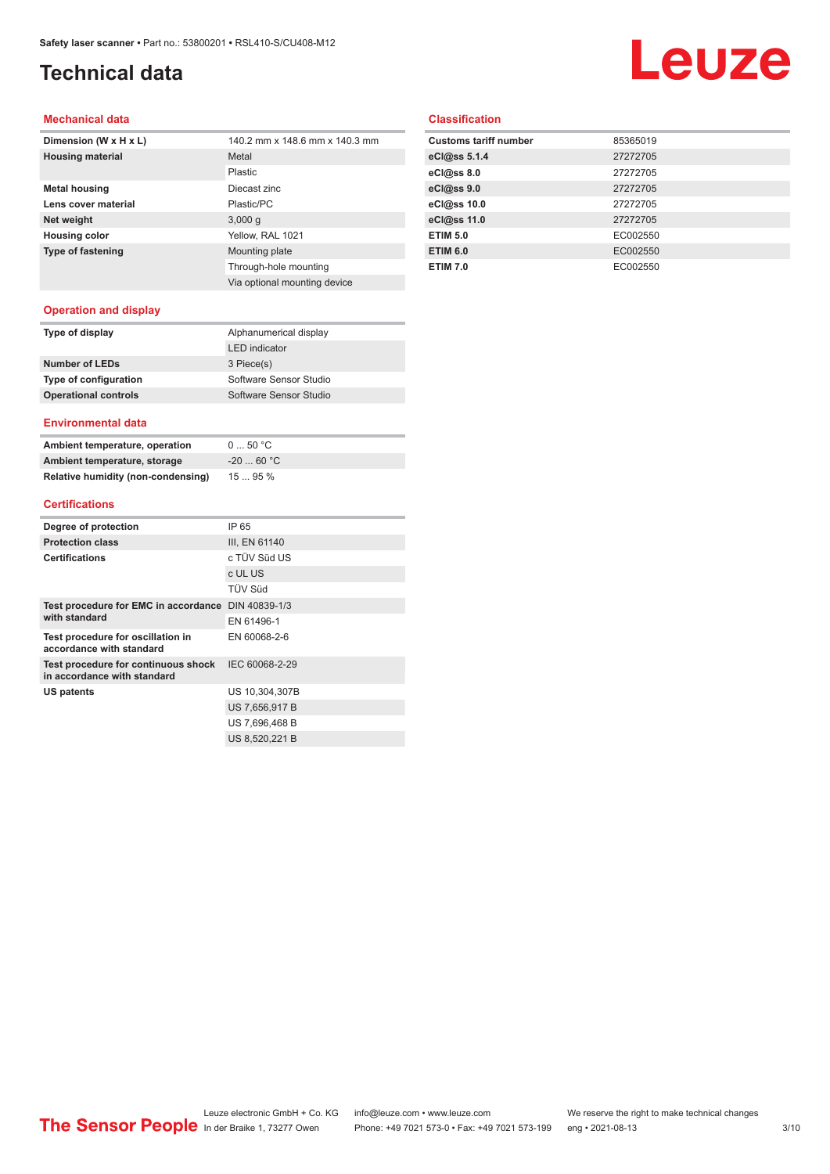# **Technical data**

# **Leuze**

### **Mechanical data**

| 140.2 mm x 148.6 mm x 140.3 mm |
|--------------------------------|
| Metal                          |
| Plastic                        |
| Diecast zinc                   |
| Plastic/PC                     |
| 3,000q                         |
| Yellow, RAL 1021               |
| Mounting plate                 |
| Through-hole mounting          |
| Via optional mounting device   |
|                                |

### **Classification**

| <b>Customs tariff number</b> | 85365019 |
|------------------------------|----------|
| eCl@ss 5.1.4                 | 27272705 |
| eCl@ss 8.0                   | 27272705 |
| eCl@ss 9.0                   | 27272705 |
| eCl@ss 10.0                  | 27272705 |
| eCl@ss 11.0                  | 27272705 |
| <b>ETIM 5.0</b>              | EC002550 |
| <b>ETIM 6.0</b>              | EC002550 |
| <b>ETIM 7.0</b>              | EC002550 |

### **Operation and display**

| Type of display             | Alphanumerical display |
|-----------------------------|------------------------|
|                             | <b>LED</b> indicator   |
| Number of LEDs              | 3 Piece(s)             |
| Type of configuration       | Software Sensor Studio |
| <b>Operational controls</b> | Software Sensor Studio |
|                             |                        |

### **Environmental data**

| Ambient temperature, operation     | 050 °C     |
|------------------------------------|------------|
| Ambient temperature, storage       | $-2060 °C$ |
| Relative humidity (non-condensing) | 1595%      |

### **Certifications**

| Degree of protection                                               | IP 65          |
|--------------------------------------------------------------------|----------------|
| <b>Protection class</b>                                            | III, EN 61140  |
| <b>Certifications</b>                                              | c TÜV Süd US   |
|                                                                    | c UL US        |
|                                                                    | <b>TÜV Süd</b> |
| Test procedure for EMC in accordance DIN 40839-1/3                 |                |
| with standard                                                      | EN 61496-1     |
| Test procedure for oscillation in<br>accordance with standard      | EN 60068-2-6   |
| Test procedure for continuous shock<br>in accordance with standard | IEC 60068-2-29 |
| US patents                                                         | US 10,304,307B |
|                                                                    | US 7.656.917 B |
|                                                                    | US 7,696,468 B |
|                                                                    | US 8.520.221 B |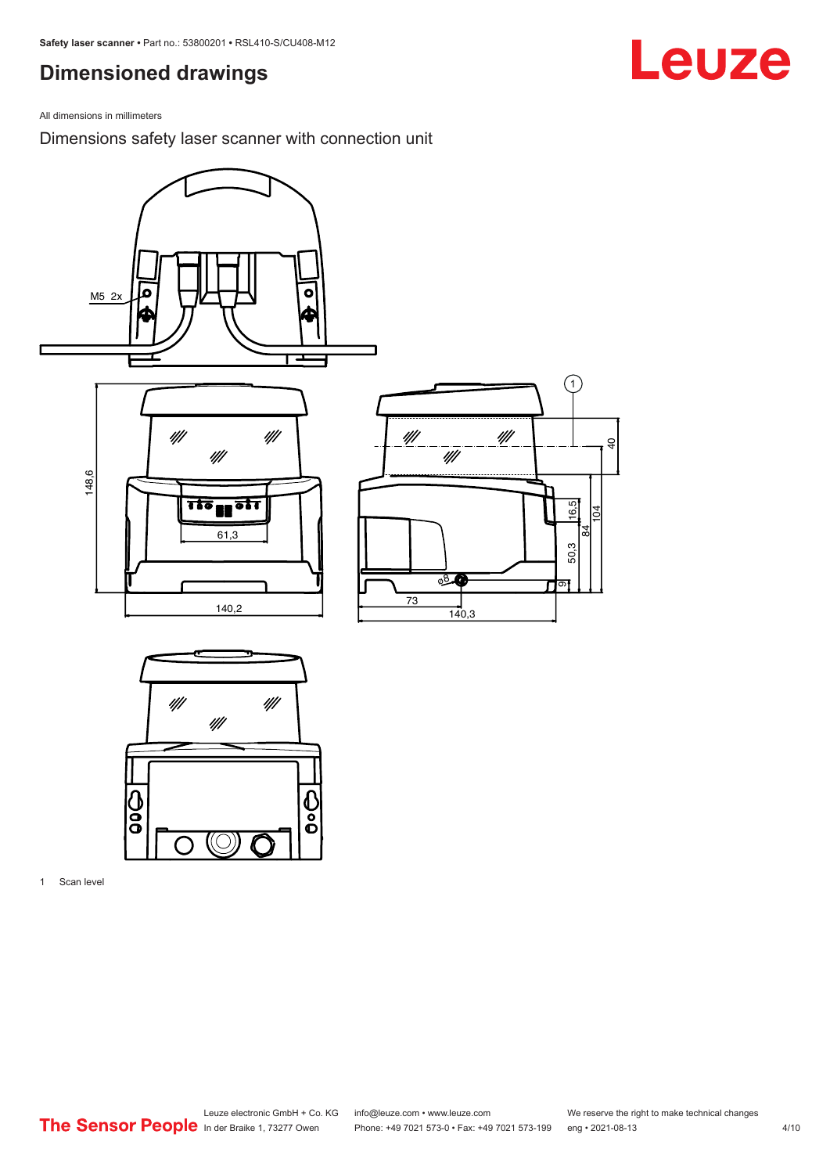# <span id="page-3-0"></span>**Dimensioned drawings**

All dimensions in millimeters

Dimensions safety laser scanner with connection unit



1 Scan level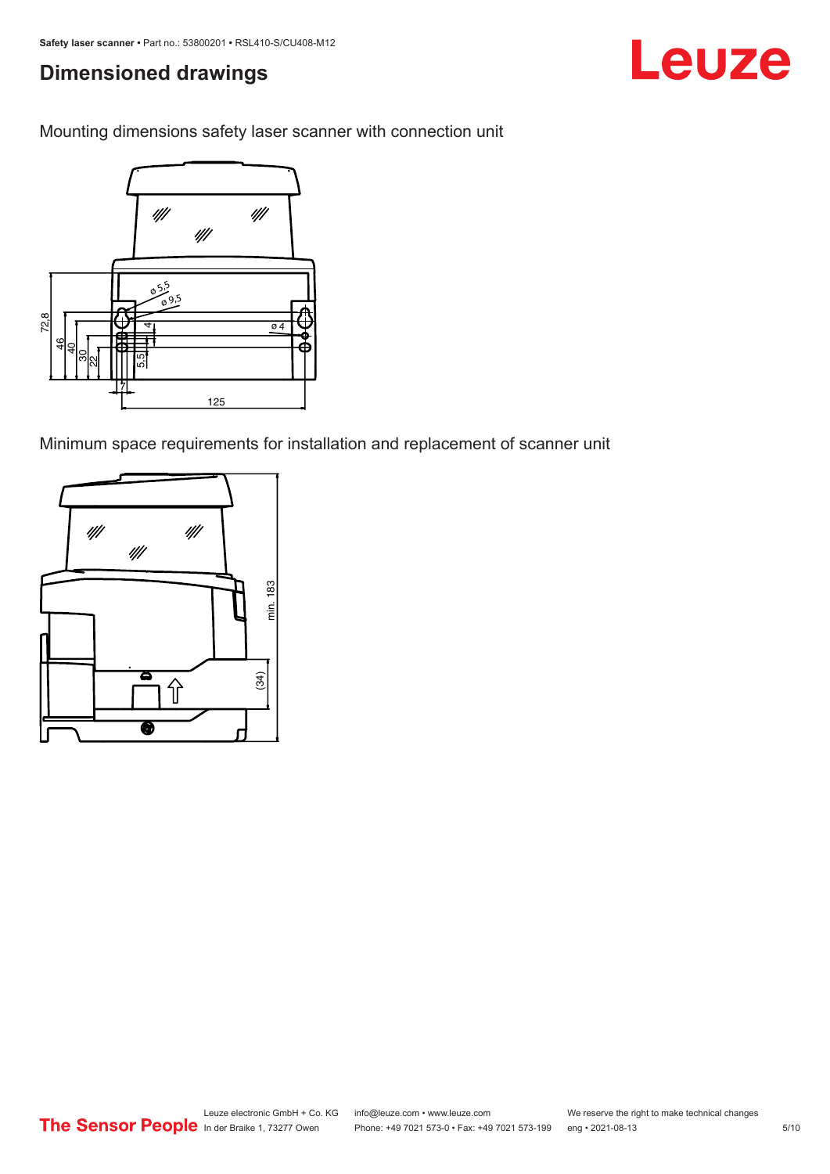# **Dimensioned drawings**

Mounting dimensions safety laser scanner with connection unit



Minimum space requirements for installation and replacement of scanner unit

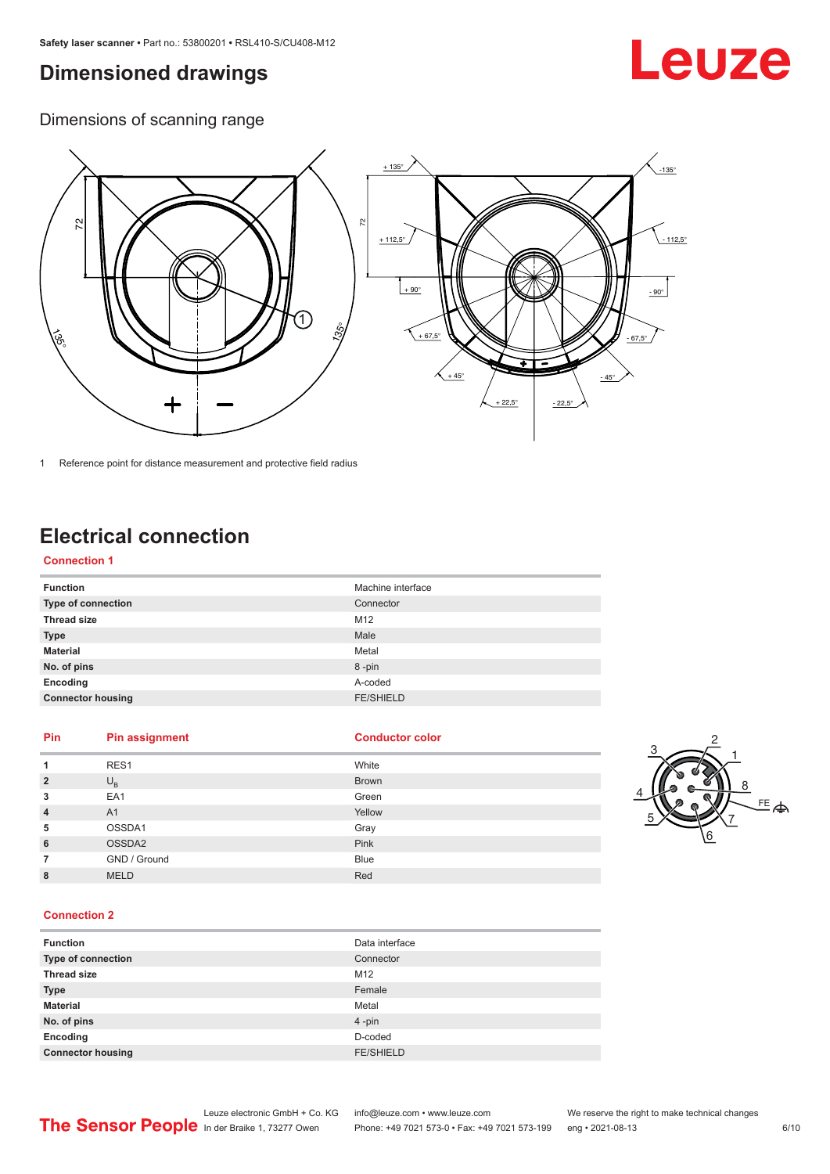## <span id="page-5-0"></span>**Dimensioned drawings**

# Leuze

Dimensions of scanning range



1 Reference point for distance measurement and protective field radius

# **Electrical connection**

### **Connection 1**

| <b>Function</b>           | Machine interface |
|---------------------------|-------------------|
| <b>Type of connection</b> | Connector         |
| <b>Thread size</b>        | M12               |
| <b>Type</b>               | Male              |
| <b>Material</b>           | Metal             |
| No. of pins               | 8-pin             |
| Encoding                  | A-coded           |
| <b>Connector housing</b>  | <b>FE/SHIELD</b>  |

### **Pin Pin assignment Conductor Conductor Color**

|                         |              |              | ు              |
|-------------------------|--------------|--------------|----------------|
|                         | RES1         | White        |                |
| $\overline{\mathbf{c}}$ | $U_{\rm B}$  | <b>Brown</b> |                |
| 3                       | EA1          | Green        |                |
| 4                       | A1           | Yellow       | $\overline{5}$ |
| 5                       | OSSDA1       | Gray         |                |
| 6                       | OSSDA2       | Pink         |                |
|                         | GND / Ground | <b>Blue</b>  |                |
| 8                       | <b>MELD</b>  | Red          |                |



### **Connection 2**

| <b>Function</b>          | Data interface   |
|--------------------------|------------------|
| Type of connection       | Connector        |
| <b>Thread size</b>       | M12              |
| <b>Type</b>              | Female           |
| <b>Material</b>          | Metal            |
| No. of pins              | 4-pin            |
| Encoding                 | D-coded          |
| <b>Connector housing</b> | <b>FE/SHIELD</b> |

Leuze electronic GmbH + Co. KG info@leuze.com • www.leuze.com We reserve the right to make technical changes<br>
The Sensor People in der Braike 1, 73277 Owen Phone: +49 7021 573-0 • Fax: +49 7021 573-199 eng • 2021-08-13

Phone: +49 7021 573-0 • Fax: +49 7021 573-199 eng • 2021-08-13 6/10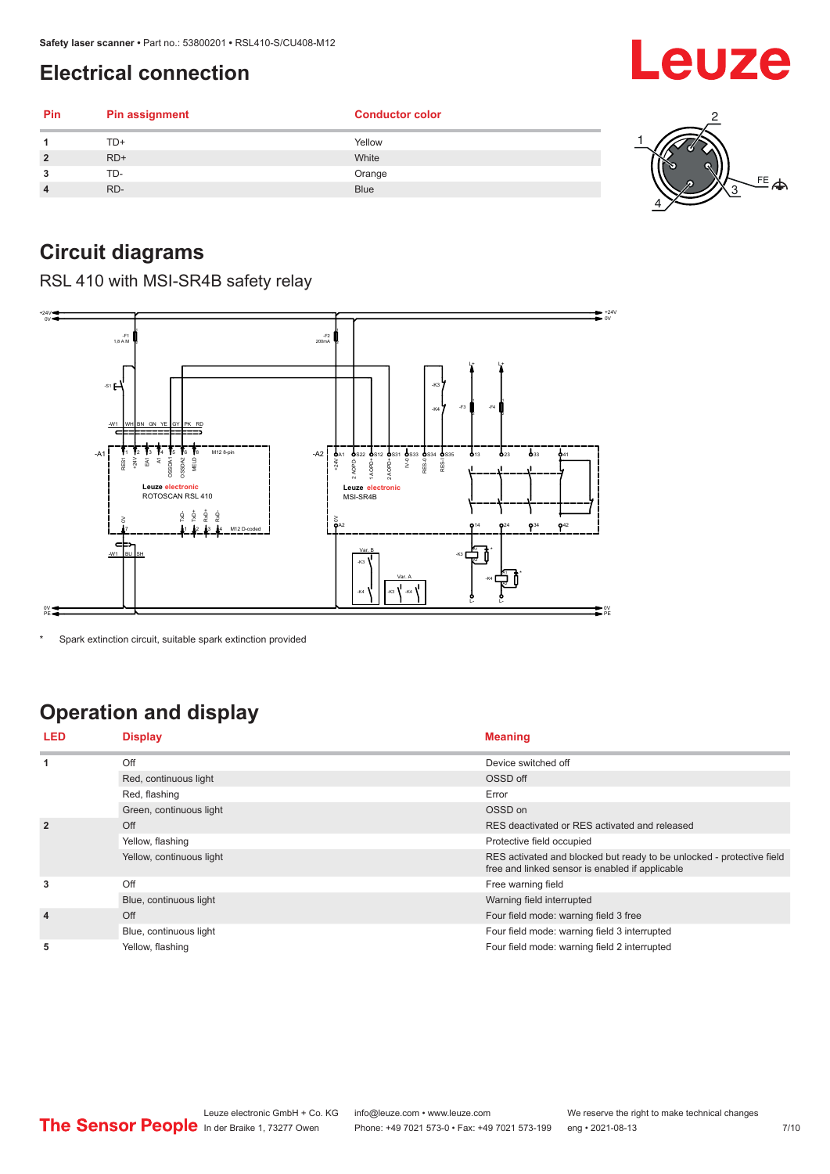# <span id="page-6-0"></span>**Electrical connection**

| Pin            | <b>Pin assignment</b> | <b>Conductor color</b> |   |
|----------------|-----------------------|------------------------|---|
|                | TD+                   | Yellow                 |   |
| $\overline{2}$ | $RD+$                 | White                  | w |
| 3              | TD-                   | Orange                 |   |
| 4              | RD-                   | <b>Blue</b>            | չ |
|                |                       |                        |   |

# **Circuit diagrams**

RSL 410 with MSI-SR4B safety relay



Spark extinction circuit, suitable spark extinction provided

# **Operation and display**

| <b>LED</b>     | <b>Display</b>           | <b>Meaning</b>                                                                                                           |
|----------------|--------------------------|--------------------------------------------------------------------------------------------------------------------------|
| 1              | Off                      | Device switched off                                                                                                      |
|                | Red, continuous light    | OSSD off                                                                                                                 |
|                | Red, flashing            | Error                                                                                                                    |
|                | Green, continuous light  | OSSD on                                                                                                                  |
| $\overline{2}$ | Off                      | RES deactivated or RES activated and released                                                                            |
|                | Yellow, flashing         | Protective field occupied                                                                                                |
|                | Yellow, continuous light | RES activated and blocked but ready to be unlocked - protective field<br>free and linked sensor is enabled if applicable |
| 3              | Off                      | Free warning field                                                                                                       |
|                | Blue, continuous light   | Warning field interrupted                                                                                                |
| $\overline{4}$ | Off                      | Four field mode: warning field 3 free                                                                                    |
|                | Blue, continuous light   | Four field mode: warning field 3 interrupted                                                                             |
| 5              | Yellow, flashing         | Four field mode: warning field 2 interrupted                                                                             |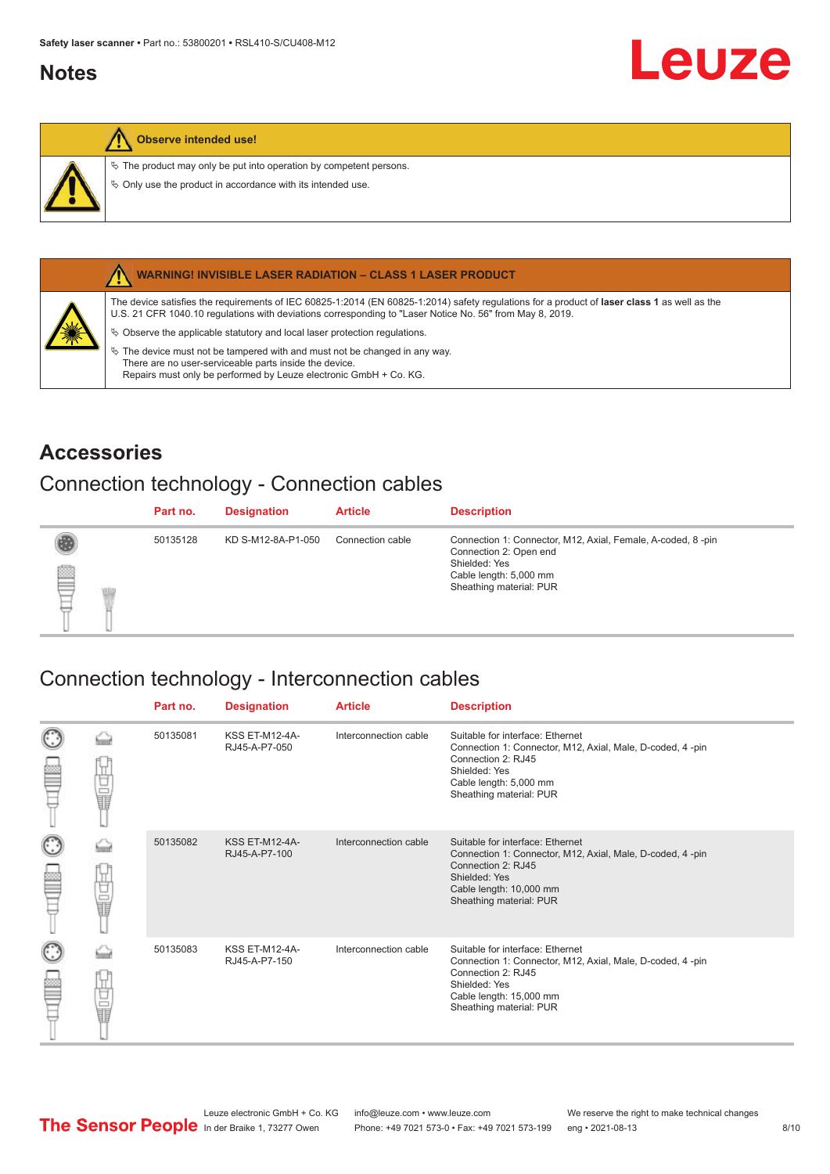## <span id="page-7-0"></span>**Notes**

### **Observe intended use!**

 $\&$  The product may only be put into operation by competent persons.

 $\%$  Only use the product in accordance with its intended use.



### **WARNING! INVISIBLE LASER RADIATION – CLASS 1 LASER PRODUCT**

The device satisfies the requirements of IEC 60825-1:2014 (EN 60825-1:2014) safety regulations for a product of **laser class 1** as well as the U.S. 21 CFR 1040.10 regulations with deviations corresponding to "Laser Notice No. 56" from May 8, 2019.

 $\&$  Observe the applicable statutory and local laser protection regulations.

 $\%$  The device must not be tampered with and must not be changed in any way. There are no user-serviceable parts inside the device. Repairs must only be performed by Leuze electronic GmbH + Co. KG.

## **Accessories**

## Connection technology - Connection cables

|   | Part no. | <b>Designation</b> | <b>Article</b>   | <b>Description</b>                                                                                                                                          |
|---|----------|--------------------|------------------|-------------------------------------------------------------------------------------------------------------------------------------------------------------|
| ▤ | 50135128 | KD S-M12-8A-P1-050 | Connection cable | Connection 1: Connector, M12, Axial, Female, A-coded, 8-pin<br>Connection 2: Open end<br>Shielded: Yes<br>Cable length: 5,000 mm<br>Sheathing material: PUR |

### Connection technology - Interconnection cables

|   |        | Part no. | <b>Designation</b>                     | <b>Article</b>        | <b>Description</b>                                                                                                                                                                         |
|---|--------|----------|----------------------------------------|-----------------------|--------------------------------------------------------------------------------------------------------------------------------------------------------------------------------------------|
|   | 甘量     | 50135081 | <b>KSS ET-M12-4A-</b><br>RJ45-A-P7-050 | Interconnection cable | Suitable for interface: Ethernet<br>Connection 1: Connector, M12, Axial, Male, D-coded, 4-pin<br>Connection 2: RJ45<br>Shielded: Yes<br>Cable length: 5,000 mm<br>Sheathing material: PUR  |
| C | the    | 50135082 | <b>KSS ET-M12-4A-</b><br>RJ45-A-P7-100 | Interconnection cable | Suitable for interface: Ethernet<br>Connection 1: Connector, M12, Axial, Male, D-coded, 4-pin<br>Connection 2: RJ45<br>Shielded: Yes<br>Cable length: 10,000 mm<br>Sheathing material: PUR |
|   | Ù<br>U | 50135083 | <b>KSS ET-M12-4A-</b><br>RJ45-A-P7-150 | Interconnection cable | Suitable for interface: Ethernet<br>Connection 1: Connector, M12, Axial, Male, D-coded, 4-pin<br>Connection 2: RJ45<br>Shielded: Yes<br>Cable length: 15,000 mm<br>Sheathing material: PUR |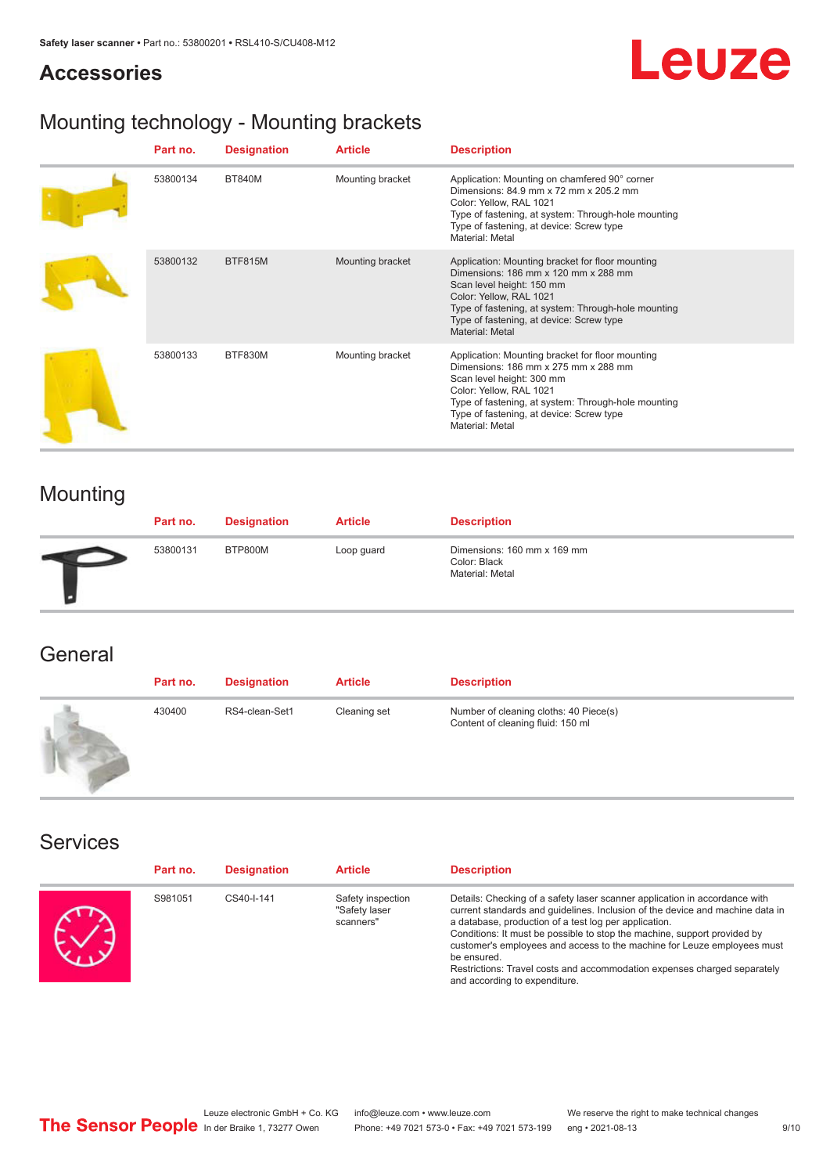## **Accessories**

# Leuze

# Mounting technology - Mounting brackets

| Part no. | <b>Designation</b> | <b>Article</b>   | <b>Description</b>                                                                                                                                                                                                                                                     |
|----------|--------------------|------------------|------------------------------------------------------------------------------------------------------------------------------------------------------------------------------------------------------------------------------------------------------------------------|
| 53800134 | <b>BT840M</b>      | Mounting bracket | Application: Mounting on chamfered 90° corner<br>Dimensions: 84.9 mm x 72 mm x 205.2 mm<br>Color: Yellow, RAL 1021<br>Type of fastening, at system: Through-hole mounting<br>Type of fastening, at device: Screw type<br>Material: Metal                               |
| 53800132 | <b>BTF815M</b>     | Mounting bracket | Application: Mounting bracket for floor mounting<br>Dimensions: 186 mm x 120 mm x 288 mm<br>Scan level height: 150 mm<br>Color: Yellow, RAL 1021<br>Type of fastening, at system: Through-hole mounting<br>Type of fastening, at device: Screw type<br>Material: Metal |
| 53800133 | BTF830M            | Mounting bracket | Application: Mounting bracket for floor mounting<br>Dimensions: 186 mm x 275 mm x 288 mm<br>Scan level height: 300 mm<br>Color: Yellow, RAL 1021<br>Type of fastening, at system: Through-hole mounting<br>Type of fastening, at device: Screw type<br>Material: Metal |

# Mounting

| Part no. | <b>Designation</b> | <b>Article</b> | <b>Description</b>                                             |
|----------|--------------------|----------------|----------------------------------------------------------------|
| 53800131 | BTP800M            | Loop guard     | Dimensions: 160 mm x 169 mm<br>Color: Black<br>Material: Metal |

## **General**

| Part no. | <b>Designation</b> | <b>Article</b> | <b>Description</b>                                                          |
|----------|--------------------|----------------|-----------------------------------------------------------------------------|
| 430400   | RS4-clean-Set1     | Cleaning set   | Number of cleaning cloths: 40 Piece(s)<br>Content of cleaning fluid: 150 ml |

## Services

| Part no. | <b>Designation</b> | <b>Article</b>                                  | <b>Description</b>                                                                                                                                                                                                                                                                                                                                                                                                                                                                                      |
|----------|--------------------|-------------------------------------------------|---------------------------------------------------------------------------------------------------------------------------------------------------------------------------------------------------------------------------------------------------------------------------------------------------------------------------------------------------------------------------------------------------------------------------------------------------------------------------------------------------------|
| S981051  | CS40-I-141         | Safety inspection<br>"Safety laser<br>scanners" | Details: Checking of a safety laser scanner application in accordance with<br>current standards and quidelines. Inclusion of the device and machine data in<br>a database, production of a test log per application.<br>Conditions: It must be possible to stop the machine, support provided by<br>customer's employees and access to the machine for Leuze employees must<br>be ensured.<br>Restrictions: Travel costs and accommodation expenses charged separately<br>and according to expenditure. |